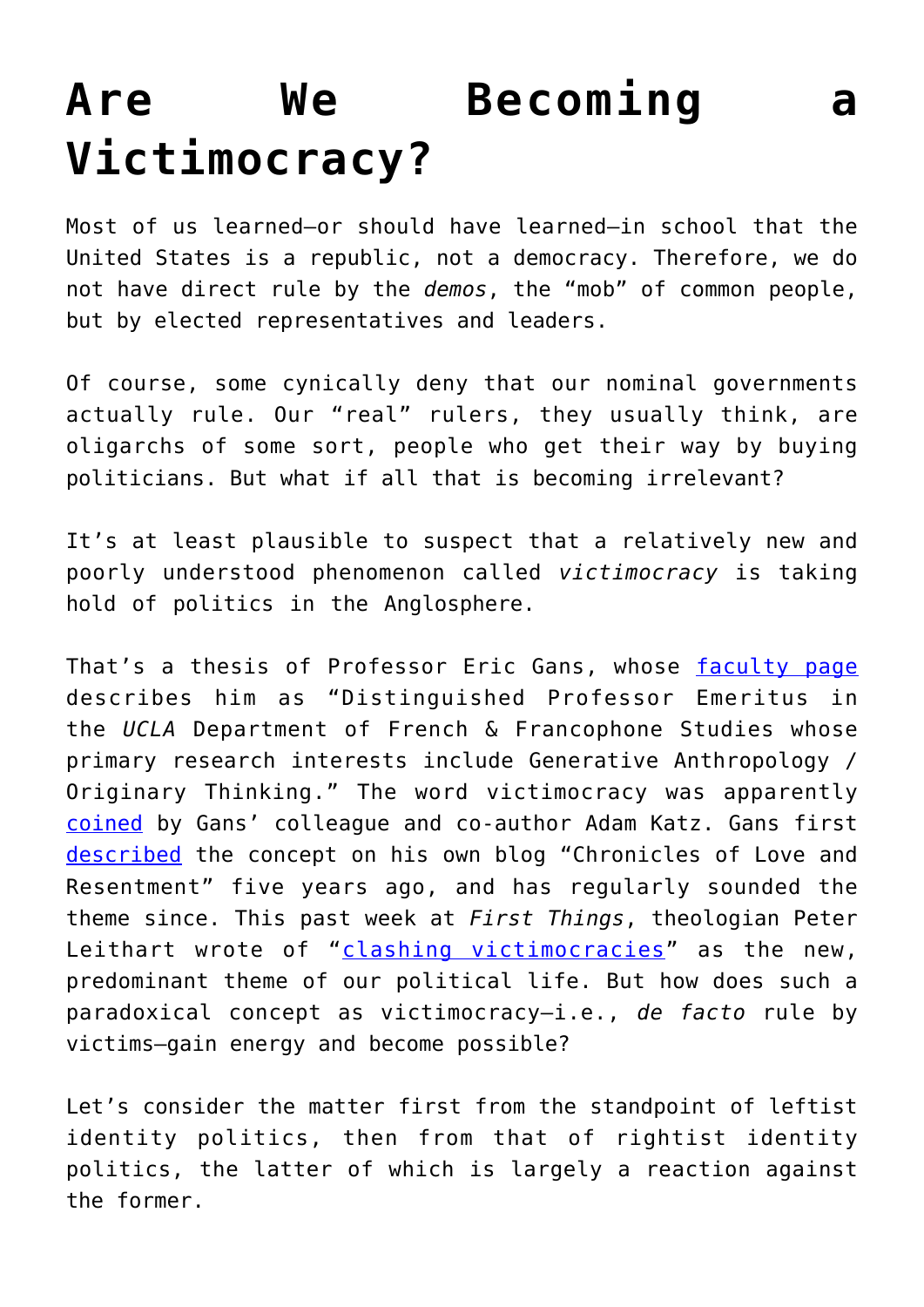## **[Are We Becoming a](https://intellectualtakeout.org/2018/11/are-we-becoming-a-victimocracy/) [Victimocracy?](https://intellectualtakeout.org/2018/11/are-we-becoming-a-victimocracy/)**

Most of us learned—or should have learned—in school that the United States is a republic, not a democracy. Therefore, we do not have direct rule by the *demos*, the "mob" of common people, but by elected representatives and leaders.

Of course, some cynically deny that our nominal governments actually rule. Our "real" rulers, they usually think, are oligarchs of some sort, people who get their way by buying politicians. But what if all that is becoming irrelevant?

It's at least plausible to suspect that a relatively new and poorly understood phenomenon called *victimocracy* is taking hold of politics in the Anglosphere.

That's a thesis of Professor Eric Gans, whose [faculty page](https://french.ucla.edu/person/eric-gans/) describes him as "Distinguished Professor Emeritus in the *UCLA* Department of French & Francophone Studies whose primary research interests include Generative Anthropology / Originary Thinking." The word victimocracy was apparently [coined](https://books.google.com/books?id=vio_CwAAQBAJ&pg=PA148&lpg=PA148&dq=%22Adam+Katz%22+victimocracy&source=bl&ots=yZuvouxXXM&sig=eW2skNmmhe11pWk6muKL7lMk-6Y&hl=en&sa=X&ved=2ahUKEwjD38T2zMDeAhXRjVkKHYx4BZIQ6AEwAnoECAYQAQ#v=onepage&q=%22Adam%20Katz%22%20victimocracy&f=false) by Gans' colleague and co-author Adam Katz. Gans first [described](http://anthropoetics.ucla.edu/views/vw442/) the concept on his own blog "Chronicles of Love and Resentment" five years ago, and has regularly sounded the theme since. This past week at *First Things*, theologian Peter Leithart wrote of "[clashing victimocracies"](https://www.firstthings.com/web-exclusives/2018/11/clashing-victimocracies) as the new, predominant theme of our political life. But how does such a paradoxical concept as victimocracy—i.e., *de facto* rule by victims—gain energy and become possible?

Let's consider the matter first from the standpoint of leftist identity politics, then from that of rightist identity politics, the latter of which is largely a reaction against the former.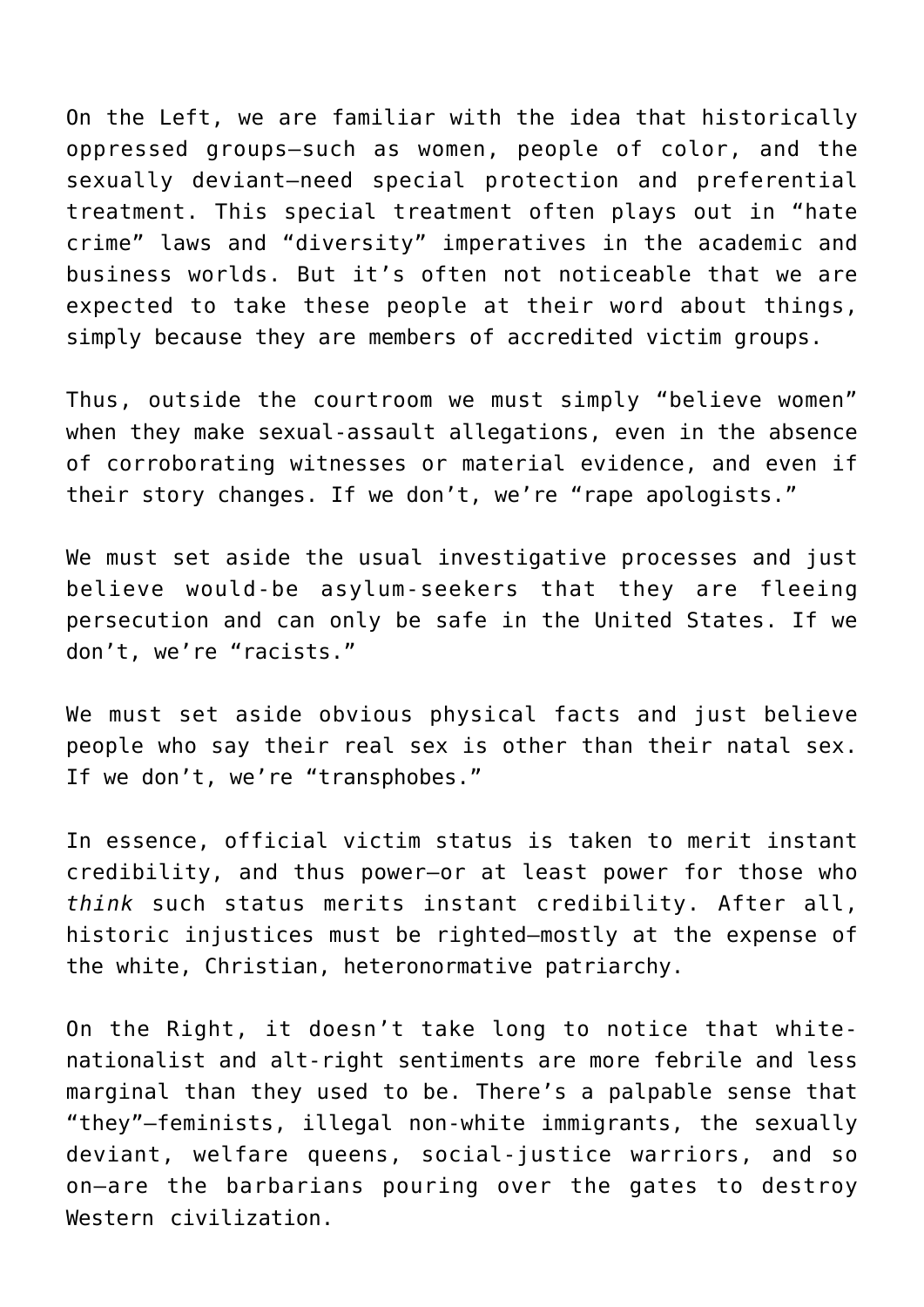On the Left, we are familiar with the idea that historically oppressed groups—such as women, people of color, and the sexually deviant—need special protection and preferential treatment. This special treatment often plays out in "hate crime" laws and "diversity" imperatives in the academic and business worlds. But it's often not noticeable that we are expected to take these people at their word about things, simply because they are members of accredited victim groups.

Thus, outside the courtroom we must simply "believe women" when they make sexual-assault allegations, even in the absence of corroborating witnesses or material evidence, and even if their story changes. If we don't, we're "rape apologists."

We must set aside the usual investigative processes and just believe would-be asylum-seekers that they are fleeing persecution and can only be safe in the United States. If we don't, we're "racists."

We must set aside obvious physical facts and just believe people who say their real sex is other than their natal sex. If we don't, we're "transphobes."

In essence, official victim status is taken to merit instant credibility, and thus power—or at least power for those who *think* such status merits instant credibility. After all, historic injustices must be righted—mostly at the expense of the white, Christian, heteronormative patriarchy.

On the Right, it doesn't take long to notice that whitenationalist and alt-right sentiments are more febrile and less marginal than they used to be. There's a palpable sense that "they"—feminists, illegal non-white immigrants, the sexually deviant, welfare queens, social-justice warriors, and so on—are the barbarians pouring over the gates to destroy Western civilization.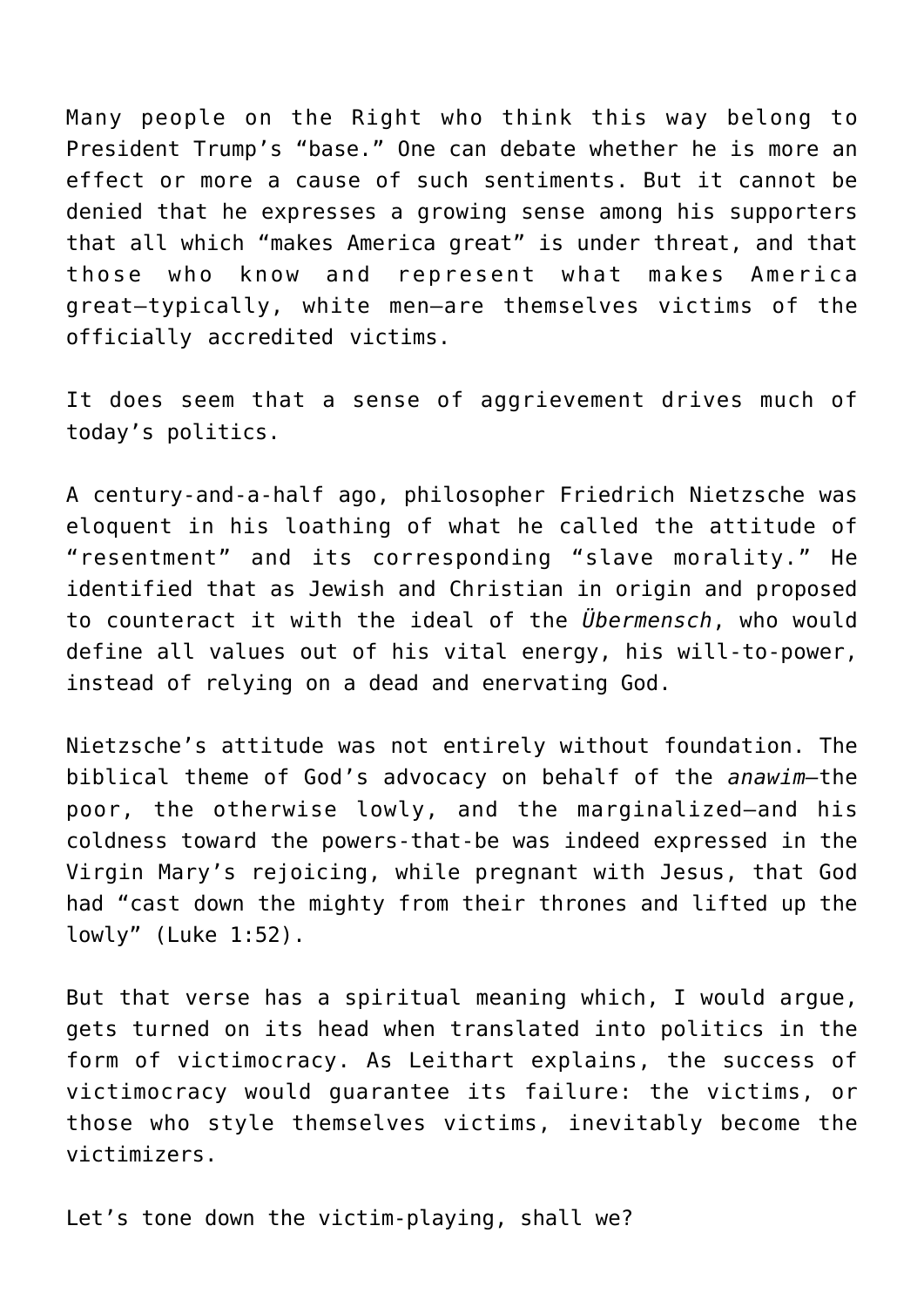Many people on the Right who think this way belong to President Trump's "base." One can debate whether he is more an effect or more a cause of such sentiments. But it cannot be denied that he expresses a growing sense among his supporters that all which "makes America great" is under threat, and that those who know and represent what makes America great—typically, white men—are themselves victims of the officially accredited victims.

It does seem that a sense of aggrievement drives much of today's politics.

A century-and-a-half ago, philosopher Friedrich Nietzsche was eloquent in his loathing of what he called the attitude of "resentment" and its corresponding "slave morality." He identified that as Jewish and Christian in origin and proposed to counteract it with the ideal of the *Übermensch*, who would define all values out of his vital energy, his will-to-power, instead of relying on a dead and enervating God.

Nietzsche's attitude was not entirely without foundation. The biblical theme of God's advocacy on behalf of the *anawim—*the poor, the otherwise lowly, and the marginalized—and his coldness toward the powers-that-be was indeed expressed in the Virgin Mary's rejoicing, while pregnant with Jesus, that God had "cast down the mighty from their thrones and lifted up the lowly" (Luke 1:52).

But that verse has a spiritual meaning which, I would argue, gets turned on its head when translated into politics in the form of victimocracy. As Leithart explains, the success of victimocracy would guarantee its failure: the victims, or those who style themselves victims, inevitably become the victimizers.

Let's tone down the victim-playing, shall we?